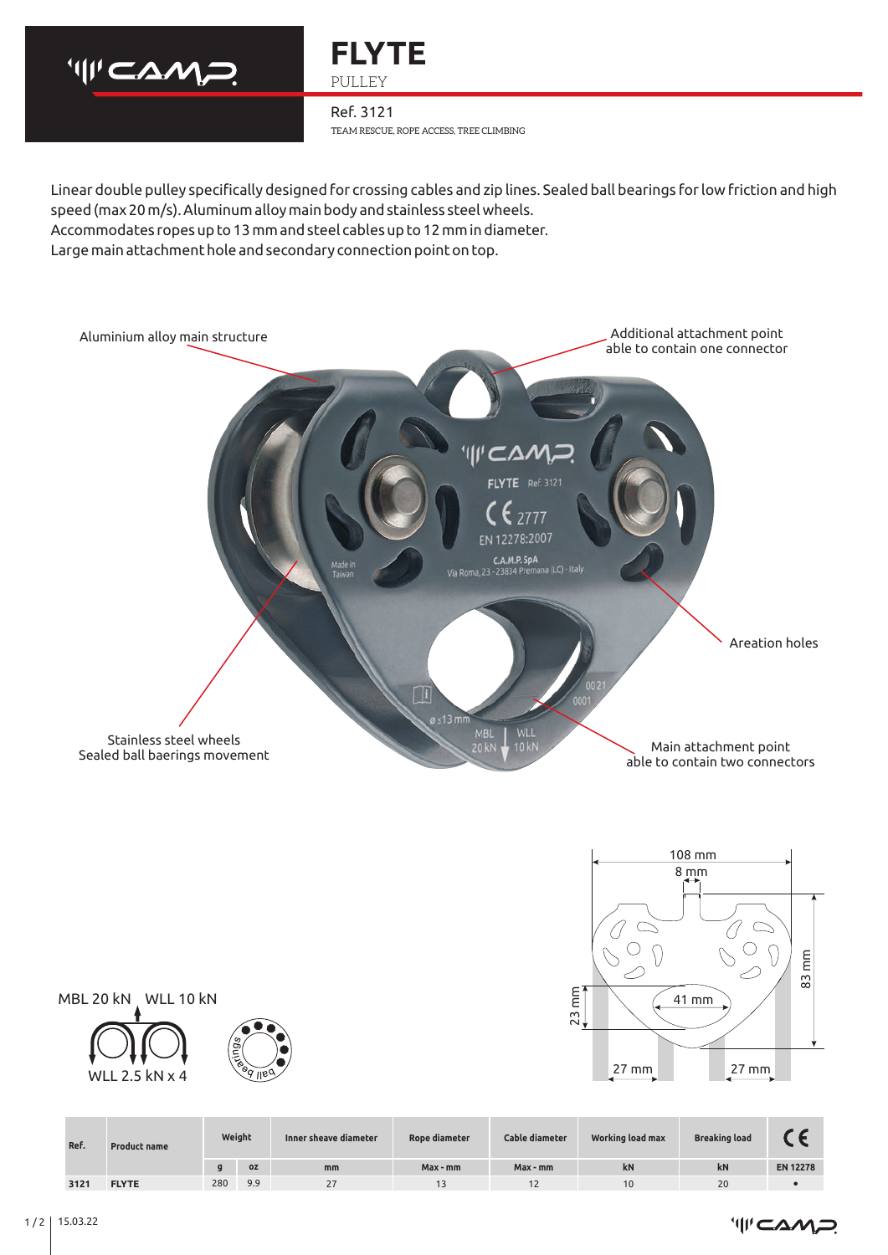



TEAM RESCUE, ROPE ACCESS, TREE CLIMBING Ref. 3121

Large main attachment hole and secondary connection point on top. Linear double pulley specifically designed for crossing cables and zip lines. Sealed ball bearings for low friction and high speed (max 20 m/s). Aluminum alloy main body and stainless steel wheels. Accommodates ropes up to 13 mm and steel cables up to 12 mm in diameter.